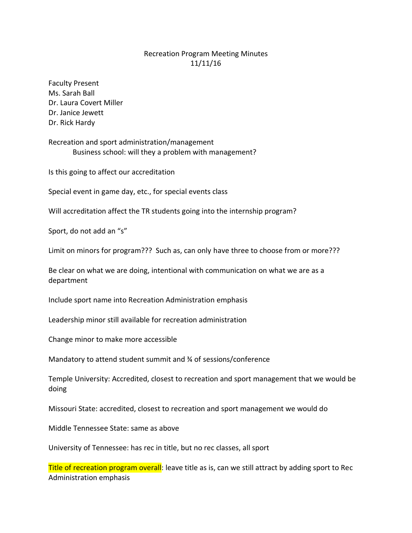## Recreation Program Meeting Minutes 11/11/16

Faculty Present Ms. Sarah Ball Dr. Laura Covert Miller Dr. Janice Jewett Dr. Rick Hardy

Recreation and sport administration/management Business school: will they a problem with management?

Is this going to affect our accreditation

Special event in game day, etc., for special events class

Will accreditation affect the TR students going into the internship program?

Sport, do not add an "s"

Limit on minors for program??? Such as, can only have three to choose from or more???

Be clear on what we are doing, intentional with communication on what we are as a department

Include sport name into Recreation Administration emphasis

Leadership minor still available for recreation administration

Change minor to make more accessible

Mandatory to attend student summit and 34 of sessions/conference

Temple University: Accredited, closest to recreation and sport management that we would be doing

Missouri State: accredited, closest to recreation and sport management we would do

Middle Tennessee State: same as above

University of Tennessee: has rec in title, but no rec classes, all sport

Title of recreation program overall: leave title as is, can we still attract by adding sport to Rec Administration emphasis